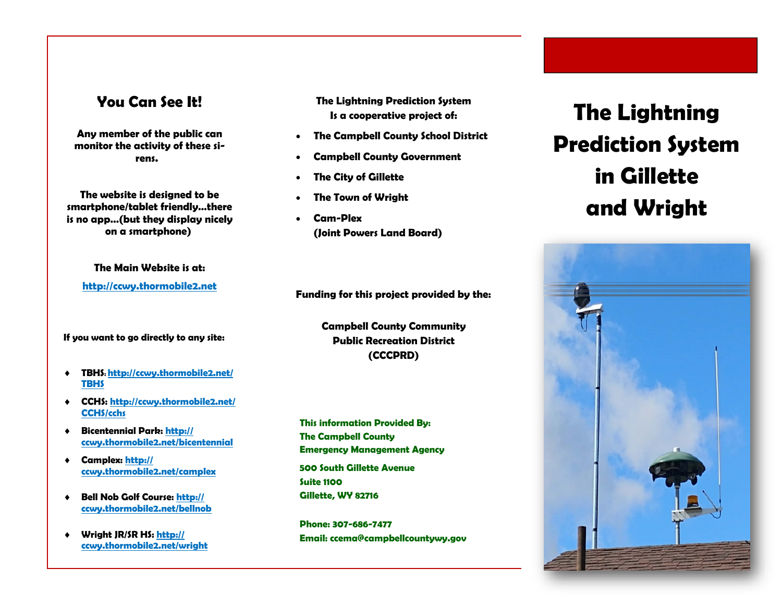## **You Can See It!**

**Any member of the public can monitor the activity of these sirens.** 

**The website is designed to be smartphone/tablet friendly…there is no app…(but they display nicely on a smartphone)** 

**The Main Website is at:** 

**http://ccwy.thormobile2.net**

**If you want to go directly to any site:** 

- $\blacklozenge$  **TBHS: http://ccwy.thormobile2.net/ TBHS**
- **CCHS: http://ccwy.thormobile2.net/ CCHS/cchs**
- $\bullet$  **Bicentennial Park: http:// ccwy.thormobile2.net/bicentennial**
- $\bullet$  **Camplex: http:// ccwy.thormobile2.net/camplex**
- $\blacklozenge$  **Bell Nob Golf Course: http:// ccwy.thormobile2.net/bellnob**
- $\blacklozenge$  **Wright JR/SR HS: http:// ccwy.thormobile2.net/wright**

**The Lightning Prediction System Is a cooperative project of:** 

- $\bullet$ **The Campbell County School District**
- . **Campbell County Government**
- $\bullet$ **The City of Gillette**
- $\bullet$ **The Town of Wright**
- $\bullet$  **Cam-Plex (Joint Powers Land Board)**

**Funding for this project provided by the:** 

**Campbell County Community Public Recreation District (CCCPRD)** 

**500 South Gillette Avenue Suite 1100 Gillette, WY 82716 This information Provided By: The Campbell County Emergency Management Agency** 

**Phone: 307-686-7477 Email: ccema@campbellcountywy.gov** 

# **The Lightning Prediction System in Gillette and Wright**